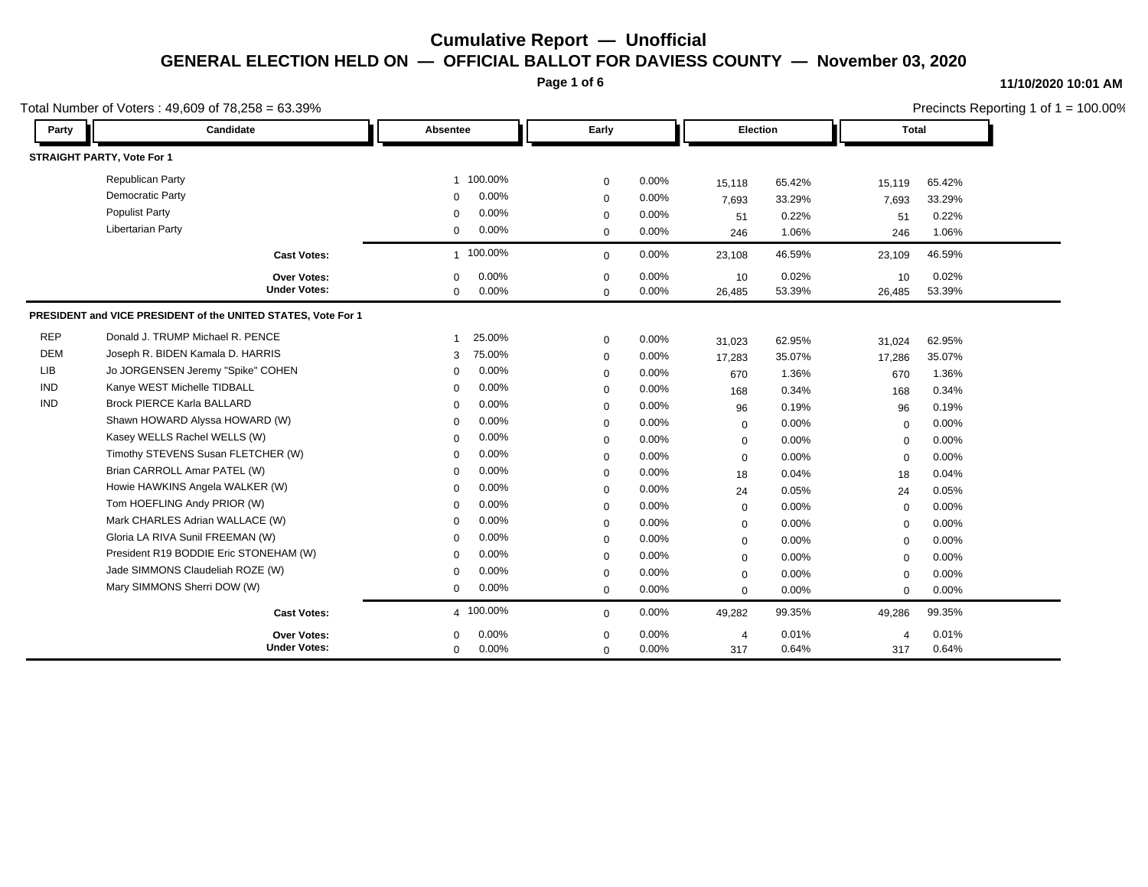**Page 1 of 6**

#### **11/10/2020 10:01 AM**

|            | Total Number of Voters: $49,609$ of $78,258 = 63.39\%$        |                          |             |       |                |        | Precincts Reporting 1 of $1 = 100.00\%$ |        |  |  |                 |  |  |  |       |  |  |
|------------|---------------------------------------------------------------|--------------------------|-------------|-------|----------------|--------|-----------------------------------------|--------|--|--|-----------------|--|--|--|-------|--|--|
| Party      | Candidate                                                     | Absentee                 | Early       |       |                |        |                                         |        |  |  | <b>Election</b> |  |  |  | Total |  |  |
|            | STRAIGHT PARTY, Vote For 1                                    |                          |             |       |                |        |                                         |        |  |  |                 |  |  |  |       |  |  |
|            | <b>Republican Party</b>                                       | 1 100.00%                | $\mathbf 0$ | 0.00% | 15,118         | 65.42% | 15,119                                  | 65.42% |  |  |                 |  |  |  |       |  |  |
|            | <b>Democratic Party</b>                                       | 0.00%<br>$\mathbf 0$     | $\mathbf 0$ | 0.00% | 7,693          | 33.29% | 7,693                                   | 33.29% |  |  |                 |  |  |  |       |  |  |
|            | <b>Populist Party</b>                                         | 0.00%<br>$\mathbf 0$     | $\mathbf 0$ | 0.00% | 51             | 0.22%  | 51                                      | 0.22%  |  |  |                 |  |  |  |       |  |  |
|            | <b>Libertarian Party</b>                                      | 0.00%<br>0               | $\mathbf 0$ | 0.00% | 246            | 1.06%  | 246                                     | 1.06%  |  |  |                 |  |  |  |       |  |  |
|            | <b>Cast Votes:</b>                                            | 1 100.00%                | $\mathbf 0$ | 0.00% | 23,108         | 46.59% | 23,109                                  | 46.59% |  |  |                 |  |  |  |       |  |  |
|            | Over Votes:                                                   | 0.00%<br>$\mathbf 0$     | $\mathbf 0$ | 0.00% | 10             | 0.02%  | 10                                      | 0.02%  |  |  |                 |  |  |  |       |  |  |
|            | <b>Under Votes:</b>                                           | 0.00%<br>0               | $\mathbf 0$ | 0.00% | 26,485         | 53.39% | 26,485                                  | 53.39% |  |  |                 |  |  |  |       |  |  |
|            | PRESIDENT and VICE PRESIDENT of the UNITED STATES, Vote For 1 |                          |             |       |                |        |                                         |        |  |  |                 |  |  |  |       |  |  |
| <b>REP</b> | Donald J. TRUMP Michael R. PENCE                              | 25.00%<br>$\overline{1}$ | $\mathbf 0$ | 0.00% | 31,023         | 62.95% | 31,024                                  | 62.95% |  |  |                 |  |  |  |       |  |  |
| <b>DEM</b> | Joseph R. BIDEN Kamala D. HARRIS                              | 75.00%<br>3              | $\mathbf 0$ | 0.00% | 17,283         | 35.07% | 17,286                                  | 35.07% |  |  |                 |  |  |  |       |  |  |
| <b>LIB</b> | Jo JORGENSEN Jeremy "Spike" COHEN                             | 0.00%<br>$\Omega$        | $\mathbf 0$ | 0.00% | 670            | 1.36%  | 670                                     | 1.36%  |  |  |                 |  |  |  |       |  |  |
| <b>IND</b> | Kanye WEST Michelle TIDBALL                                   | 0.00%<br>$\Omega$        | $\mathbf 0$ | 0.00% | 168            | 0.34%  | 168                                     | 0.34%  |  |  |                 |  |  |  |       |  |  |
| <b>IND</b> | <b>Brock PIERCE Karla BALLARD</b>                             | 0.00%<br>$\Omega$        | $\mathbf 0$ | 0.00% | 96             | 0.19%  | 96                                      | 0.19%  |  |  |                 |  |  |  |       |  |  |
|            | Shawn HOWARD Alyssa HOWARD (W)                                | 0.00%<br>$\Omega$        | $\mathbf 0$ | 0.00% | 0              | 0.00%  | $\mathbf 0$                             | 0.00%  |  |  |                 |  |  |  |       |  |  |
|            | Kasey WELLS Rachel WELLS (W)                                  | 0.00%<br>$\Omega$        | $\mathbf 0$ | 0.00% | $\mathbf 0$    | 0.00%  | $\mathbf 0$                             | 0.00%  |  |  |                 |  |  |  |       |  |  |
|            | Timothy STEVENS Susan FLETCHER (W)                            | 0.00%<br>$\Omega$        | $\mathbf 0$ | 0.00% | $\mathbf 0$    | 0.00%  | $\mathbf 0$                             | 0.00%  |  |  |                 |  |  |  |       |  |  |
|            | Brian CARROLL Amar PATEL (W)                                  | 0.00%<br>$\Omega$        | $\Omega$    | 0.00% | 18             | 0.04%  | 18                                      | 0.04%  |  |  |                 |  |  |  |       |  |  |
|            | Howie HAWKINS Angela WALKER (W)                               | 0.00%<br>$\mathbf 0$     | $\mathbf 0$ | 0.00% | 24             | 0.05%  | 24                                      | 0.05%  |  |  |                 |  |  |  |       |  |  |
|            | Tom HOEFLING Andy PRIOR (W)                                   | 0.00%<br>$\Omega$        | $\mathbf 0$ | 0.00% | $\mathbf 0$    | 0.00%  | $\mathbf 0$                             | 0.00%  |  |  |                 |  |  |  |       |  |  |
|            | Mark CHARLES Adrian WALLACE (W)                               | 0.00%<br>$\Omega$        | $\mathbf 0$ | 0.00% | $\mathbf 0$    | 0.00%  | $\mathbf 0$                             | 0.00%  |  |  |                 |  |  |  |       |  |  |
|            | Gloria LA RIVA Sunil FREEMAN (W)                              | 0.00%<br>$\Omega$        | $\mathbf 0$ | 0.00% | $\mathbf 0$    | 0.00%  | $\mathbf 0$                             | 0.00%  |  |  |                 |  |  |  |       |  |  |
|            | President R19 BODDIE Eric STONEHAM (W)                        | 0.00%<br>$\Omega$        | $\mathbf 0$ | 0.00% | 0              | 0.00%  | $\mathbf 0$                             | 0.00%  |  |  |                 |  |  |  |       |  |  |
|            | Jade SIMMONS Claudeliah ROZE (W)                              | 0.00%<br>$\Omega$        | $\mathbf 0$ | 0.00% | $\mathbf 0$    | 0.00%  | $\mathbf 0$                             | 0.00%  |  |  |                 |  |  |  |       |  |  |
|            | Mary SIMMONS Sherri DOW (W)                                   | 0.00%<br>$\mathbf 0$     | $\mathbf 0$ | 0.00% | 0              | 0.00%  | $\mathbf 0$                             | 0.00%  |  |  |                 |  |  |  |       |  |  |
|            | <b>Cast Votes:</b>                                            | 4 100.00%                | $\mathbf 0$ | 0.00% | 49,282         | 99.35% | 49,286                                  | 99.35% |  |  |                 |  |  |  |       |  |  |
|            | Over Votes:                                                   | 0.00%<br>$\Omega$        | $\Omega$    | 0.00% | $\overline{4}$ | 0.01%  | 4                                       | 0.01%  |  |  |                 |  |  |  |       |  |  |
|            | <b>Under Votes:</b>                                           | 0.00%<br>0               | $\mathbf 0$ | 0.00% | 317            | 0.64%  | 317                                     | 0.64%  |  |  |                 |  |  |  |       |  |  |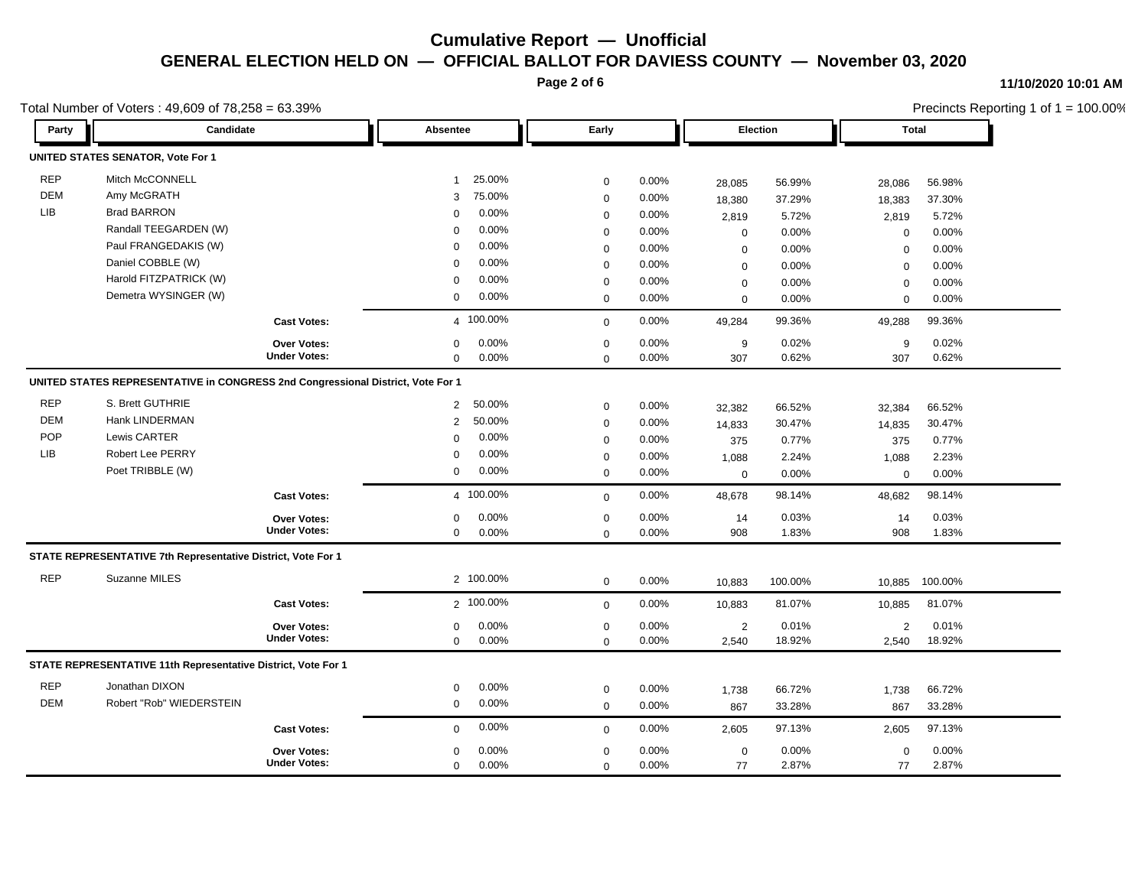**Page 2 of 6**

#### **11/10/2020 10:01 AM**

|            | Total Number of Voters: 49,609 of 78,258 = 63.39%                               |                     |                          |             |       |                  |         | Precincts Reporting 1 of 1 = 100.00% |         |  |  |
|------------|---------------------------------------------------------------------------------|---------------------|--------------------------|-------------|-------|------------------|---------|--------------------------------------|---------|--|--|
| Party      | Candidate                                                                       |                     | Early<br>Absentee        |             |       | Election         |         | Total                                |         |  |  |
|            | UNITED STATES SENATOR, Vote For 1                                               |                     |                          |             |       |                  |         |                                      |         |  |  |
| <b>REP</b> | Mitch McCONNELL                                                                 |                     | 25.00%<br>$\overline{1}$ | $\mathbf 0$ | 0.00% | 28,085           | 56.99%  | 28,086                               | 56.98%  |  |  |
| DEM        | Amy McGRATH                                                                     |                     | 75.00%<br>3              | $\mathbf 0$ | 0.00% | 18,380           | 37.29%  | 18,383                               | 37.30%  |  |  |
| LIB        | <b>Brad BARRON</b>                                                              |                     | 0.00%<br>0               | $\mathbf 0$ | 0.00% | 2,819            | 5.72%   | 2,819                                | 5.72%   |  |  |
|            | Randall TEEGARDEN (W)                                                           |                     | 0.00%<br>$\mathbf 0$     | $\mathbf 0$ | 0.00% | $\mathbf 0$      | 0.00%   | $\mathbf 0$                          | 0.00%   |  |  |
|            | Paul FRANGEDAKIS (W)                                                            |                     | 0.00%<br>$\mathbf 0$     | $\mathbf 0$ | 0.00% | $\mathbf 0$      | 0.00%   | $\mathbf 0$                          | 0.00%   |  |  |
|            | Daniel COBBLE (W)                                                               |                     | 0.00%<br>$\mathbf 0$     | $\mathbf 0$ | 0.00% | $\mathbf 0$      | 0.00%   | $\mathbf 0$                          | 0.00%   |  |  |
|            | Harold FITZPATRICK (W)                                                          |                     | 0.00%<br>$\mathbf 0$     | $\mathbf 0$ | 0.00% | $\mathbf 0$      | 0.00%   | $\mathbf 0$                          | 0.00%   |  |  |
|            | Demetra WYSINGER (W)                                                            |                     | 0.00%<br>$\mathbf 0$     | $\mathbf 0$ | 0.00% | $\Omega$         | 0.00%   | $\mathbf 0$                          | 0.00%   |  |  |
|            |                                                                                 | <b>Cast Votes:</b>  | 4 100.00%                | $\mathbf 0$ | 0.00% | 49,284           | 99.36%  | 49,288                               | 99.36%  |  |  |
|            |                                                                                 | <b>Over Votes:</b>  | 0.00%<br>$\mathbf 0$     | $\mathbf 0$ | 0.00% | 9                | 0.02%   | 9                                    | 0.02%   |  |  |
|            |                                                                                 | <b>Under Votes:</b> | $\mathbf 0$<br>$0.00\%$  | $\Omega$    | 0.00% | 307              | 0.62%   | 307                                  | 0.62%   |  |  |
|            | UNITED STATES REPRESENTATIVE in CONGRESS 2nd Congressional District, Vote For 1 |                     |                          |             |       |                  |         |                                      |         |  |  |
| <b>REP</b> | S. Brett GUTHRIE                                                                |                     | 50.00%<br>$\overline{2}$ | $\mathbf 0$ | 0.00% | 32,382           | 66.52%  | 32,384                               | 66.52%  |  |  |
| <b>DEM</b> | Hank LINDERMAN                                                                  |                     | 50.00%<br>2              | $\mathbf 0$ | 0.00% | 14,833           | 30.47%  | 14,835                               | 30.47%  |  |  |
| POP        | Lewis CARTER                                                                    |                     | $0.00\%$<br>$\mathbf 0$  | $\mathbf 0$ | 0.00% | 375              | 0.77%   | 375                                  | 0.77%   |  |  |
| <b>LIB</b> | <b>Robert Lee PERRY</b>                                                         |                     | 0.00%<br>$\mathbf 0$     | $\mathbf 0$ | 0.00% | 1,088            | 2.24%   | 1,088                                | 2.23%   |  |  |
|            | Poet TRIBBLE (W)                                                                |                     | 0.00%<br>0               | $\mathbf 0$ | 0.00% | $\mathbf 0$      | 0.00%   | $\mathbf 0$                          | 0.00%   |  |  |
|            |                                                                                 | <b>Cast Votes:</b>  | 4 100.00%                | $\mathbf 0$ | 0.00% | 48,678           | 98.14%  | 48,682                               | 98.14%  |  |  |
|            |                                                                                 | <b>Over Votes:</b>  | 0.00%<br>0               | $\mathbf 0$ | 0.00% | 14               | 0.03%   | 14                                   | 0.03%   |  |  |
|            |                                                                                 | <b>Under Votes:</b> | 0.00%<br>0               | $\mathbf 0$ | 0.00% | 908              | 1.83%   | 908                                  | 1.83%   |  |  |
|            | STATE REPRESENTATIVE 7th Representative District, Vote For 1                    |                     |                          |             |       |                  |         |                                      |         |  |  |
| <b>REP</b> | Suzanne MILES                                                                   |                     | 2 100.00%                | $\mathbf 0$ | 0.00% | 10,883           | 100.00% | 10,885                               | 100.00% |  |  |
|            |                                                                                 | <b>Cast Votes:</b>  | 2 100.00%                | $\mathbf 0$ | 0.00% | 10,883           | 81.07%  | 10,885                               | 81.07%  |  |  |
|            |                                                                                 | Over Votes:         | 0.00%<br>0               | $\mathbf 0$ | 0.00% | $\overline{2}$   | 0.01%   | $\overline{2}$                       | 0.01%   |  |  |
|            |                                                                                 | <b>Under Votes:</b> | 0.00%<br>0               | $\mathbf 0$ | 0.00% | 2,540            | 18.92%  | 2,540                                | 18.92%  |  |  |
|            | STATE REPRESENTATIVE 11th Representative District, Vote For 1                   |                     |                          |             |       |                  |         |                                      |         |  |  |
| <b>REP</b> | Jonathan DIXON                                                                  |                     | $0.00\%$<br>0            | $\mathbf 0$ | 0.00% | 1,738            | 66.72%  | 1,738                                | 66.72%  |  |  |
| <b>DEM</b> | Robert "Rob" WIEDERSTEIN                                                        |                     | 0.00%<br>0               | $\mathbf 0$ | 0.00% | 867              | 33.28%  | 867                                  | 33.28%  |  |  |
|            |                                                                                 | <b>Cast Votes:</b>  | 0.00%<br>0               | $\mathbf 0$ | 0.00% | 2,605            | 97.13%  | 2,605                                | 97.13%  |  |  |
|            |                                                                                 | Over Votes:         | 0.00%<br>0               | $\mathbf 0$ | 0.00% | $\boldsymbol{0}$ | 0.00%   | $\mathbf 0$                          | 0.00%   |  |  |
|            |                                                                                 | <b>Under Votes:</b> | 0.00%<br>0               | $\mathbf 0$ | 0.00% | 77               | 2.87%   | 77                                   | 2.87%   |  |  |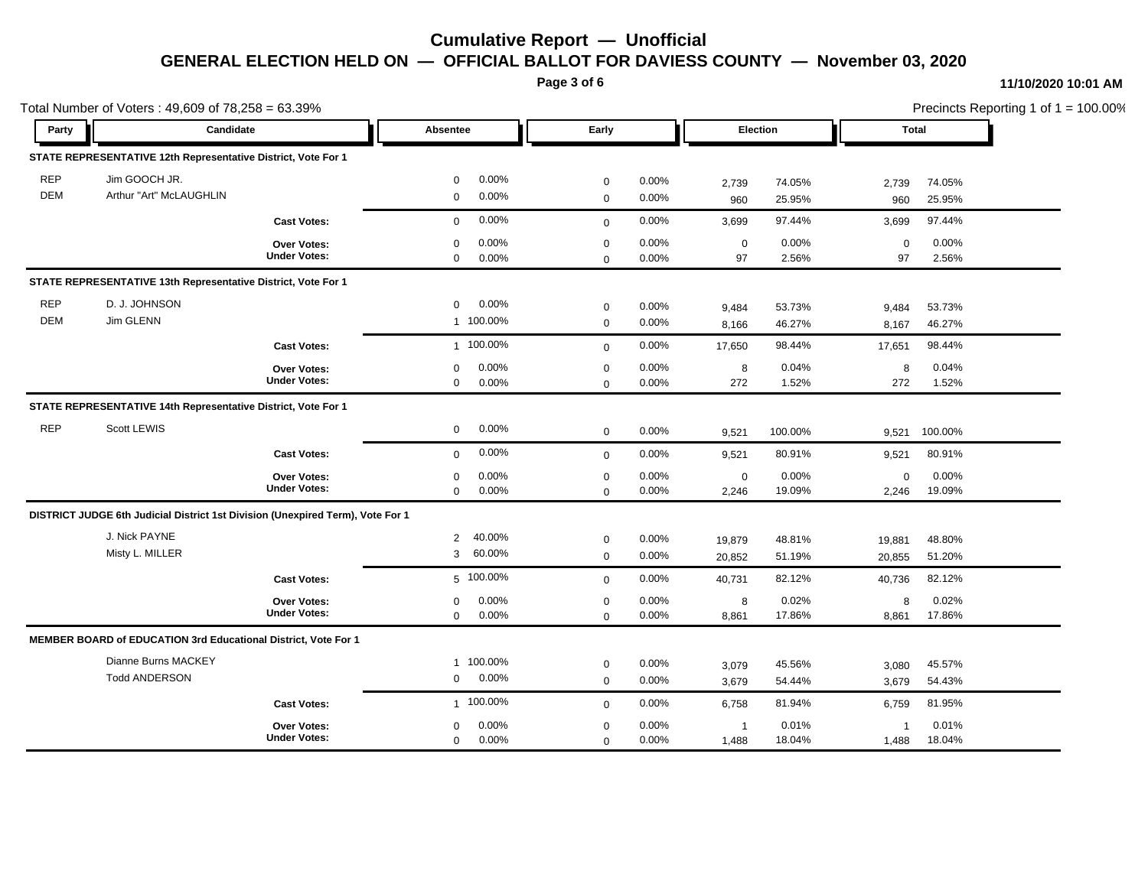**Page 3 of 6**

### **11/10/2020 10:01 AM**

|            | Total Number of Voters: 49,609 of 78,258 = 63.39%                              |                     |                |           |             |          |                |         | Precincts Reporting 1 of 1 = 100.00% |         |  |
|------------|--------------------------------------------------------------------------------|---------------------|----------------|-----------|-------------|----------|----------------|---------|--------------------------------------|---------|--|
| Party      | Candidate                                                                      |                     | Absentee       |           | Early       |          | Election       |         | Total                                |         |  |
|            | STATE REPRESENTATIVE 12th Representative District, Vote For 1                  |                     |                |           |             |          |                |         |                                      |         |  |
| <b>REP</b> | Jim GOOCH JR.                                                                  |                     | $\mathbf 0$    | 0.00%     | $\mathbf 0$ | 0.00%    | 2,739          | 74.05%  | 2,739                                | 74.05%  |  |
| <b>DEM</b> | Arthur "Art" McLAUGHLIN                                                        |                     | $\mathbf 0$    | 0.00%     | $\mathsf 0$ | 0.00%    | 960            | 25.95%  | 960                                  | 25.95%  |  |
|            |                                                                                | <b>Cast Votes:</b>  | $\mathbf 0$    | 0.00%     | $\mathbf 0$ | 0.00%    | 3,699          | 97.44%  | 3,699                                | 97.44%  |  |
|            |                                                                                | Over Votes:         | $\mathbf 0$    | 0.00%     | $\mathbf 0$ | 0.00%    | $\mathbf 0$    | 0.00%   | $\mathbf 0$                          | 0.00%   |  |
|            |                                                                                | <b>Under Votes:</b> | $\mathbf 0$    | 0.00%     | $\mathbf 0$ | $0.00\%$ | 97             | 2.56%   | 97                                   | 2.56%   |  |
|            | STATE REPRESENTATIVE 13th Representative District, Vote For 1                  |                     |                |           |             |          |                |         |                                      |         |  |
| <b>REP</b> | D. J. JOHNSON                                                                  |                     | $\mathbf 0$    | 0.00%     | $\mathbf 0$ | 0.00%    | 9,484          | 53.73%  | 9,484                                | 53.73%  |  |
| <b>DEM</b> | Jim GLENN                                                                      |                     |                | 1 100.00% | $\mathbf 0$ | 0.00%    | 8,166          | 46.27%  | 8,167                                | 46.27%  |  |
|            |                                                                                | <b>Cast Votes:</b>  |                | 1 100.00% | $\mathbf 0$ | $0.00\%$ | 17,650         | 98.44%  | 17,651                               | 98.44%  |  |
|            |                                                                                | Over Votes:         | $\mathbf 0$    | 0.00%     | $\mathbf 0$ | 0.00%    | 8              | 0.04%   | 8                                    | 0.04%   |  |
|            |                                                                                | <b>Under Votes:</b> | $\mathbf 0$    | 0.00%     | $\mathbf 0$ | 0.00%    | 272            | 1.52%   | 272                                  | 1.52%   |  |
|            | STATE REPRESENTATIVE 14th Representative District, Vote For 1                  |                     |                |           |             |          |                |         |                                      |         |  |
| <b>REP</b> | Scott LEWIS                                                                    |                     | $\mathbf 0$    | 0.00%     | $\mathbf 0$ | 0.00%    | 9,521          | 100.00% | 9,521                                | 100.00% |  |
|            |                                                                                | <b>Cast Votes:</b>  | $\mathbf 0$    | 0.00%     | $\mathbf 0$ | 0.00%    | 9,521          | 80.91%  | 9,521                                | 80.91%  |  |
|            |                                                                                | Over Votes:         | 0              | 0.00%     | $\mathbf 0$ | 0.00%    | $\mathbf 0$    | 0.00%   | 0                                    | 0.00%   |  |
|            |                                                                                | <b>Under Votes:</b> | $\mathbf 0$    | 0.00%     | $\mathbf 0$ | $0.00\%$ | 2,246          | 19.09%  | 2,246                                | 19.09%  |  |
|            | DISTRICT JUDGE 6th Judicial District 1st Division (Unexpired Term), Vote For 1 |                     |                |           |             |          |                |         |                                      |         |  |
|            | J. Nick PAYNE                                                                  |                     | $\overline{2}$ | 40.00%    | $\mathbf 0$ | 0.00%    | 19,879         | 48.81%  | 19,881                               | 48.80%  |  |
|            | Misty L. MILLER                                                                |                     | 3              | 60.00%    | $\mathbf 0$ | 0.00%    | 20,852         | 51.19%  | 20,855                               | 51.20%  |  |
|            |                                                                                | <b>Cast Votes:</b>  |                | 5 100.00% | $\mathbf 0$ | 0.00%    | 40,731         | 82.12%  | 40,736                               | 82.12%  |  |
|            |                                                                                | Over Votes:         | $\mathbf 0$    | 0.00%     | $\mathbf 0$ | 0.00%    | 8              | 0.02%   | 8                                    | 0.02%   |  |
|            |                                                                                | <b>Under Votes:</b> | $\mathbf 0$    | 0.00%     | $\mathbf 0$ | 0.00%    | 8,861          | 17.86%  | 8,861                                | 17.86%  |  |
|            | <b>MEMBER BOARD of EDUCATION 3rd Educational District, Vote For 1</b>          |                     |                |           |             |          |                |         |                                      |         |  |
|            | Dianne Burns MACKEY                                                            |                     |                | 1 100.00% | $\mathbf 0$ | $0.00\%$ | 3,079          | 45.56%  | 3,080                                | 45.57%  |  |
|            | <b>Todd ANDERSON</b>                                                           |                     | $\mathbf 0$    | 0.00%     | $\mathbf 0$ | 0.00%    | 3,679          | 54.44%  | 3,679                                | 54.43%  |  |
|            |                                                                                | <b>Cast Votes:</b>  |                | 1 100.00% | $\mathbf 0$ | 0.00%    | 6,758          | 81.94%  | 6,759                                | 81.95%  |  |
|            |                                                                                | <b>Over Votes:</b>  | $\mathbf 0$    | 0.00%     | $\pmb{0}$   | 0.00%    | $\overline{1}$ | 0.01%   | -1                                   | 0.01%   |  |
|            |                                                                                | <b>Under Votes:</b> | $\mathbf 0$    | 0.00%     | $\mathbf 0$ | 0.00%    | 1,488          | 18.04%  | 1,488                                | 18.04%  |  |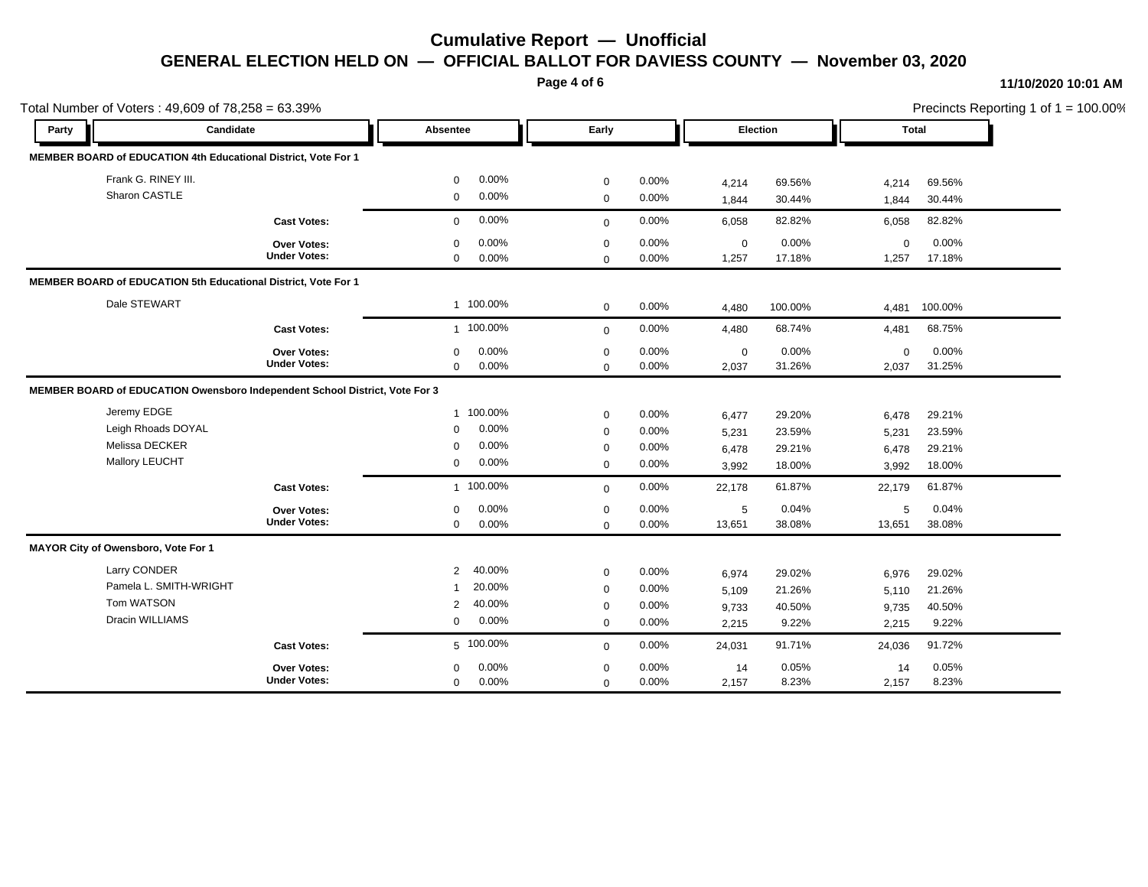**Page 4 of 6**

#### **11/10/2020 10:01 AM**

| Total Number of Voters: 49,609 of 78,258 = 63.39% |                                                                             |                     |                |           |              |       |             |         | Precincts Reporting 1 of 1 = 100.00% |         |  |
|---------------------------------------------------|-----------------------------------------------------------------------------|---------------------|----------------|-----------|--------------|-------|-------------|---------|--------------------------------------|---------|--|
| Party                                             | Candidate                                                                   |                     | Absentee       |           | Early        |       | Election    |         | <b>Total</b>                         |         |  |
|                                                   | MEMBER BOARD of EDUCATION 4th Educational District, Vote For 1              |                     |                |           |              |       |             |         |                                      |         |  |
|                                                   | Frank G. RINEY III.                                                         |                     | $\Omega$       | 0.00%     | $\mathbf 0$  | 0.00% | 4,214       | 69.56%  | 4,214                                | 69.56%  |  |
|                                                   | Sharon CASTLE                                                               |                     | $\mathbf 0$    | 0.00%     | $\mathbf 0$  | 0.00% | 1,844       | 30.44%  | 1,844                                | 30.44%  |  |
|                                                   |                                                                             | <b>Cast Votes:</b>  | $\Omega$       | 0.00%     | $\mathbf{0}$ | 0.00% | 6,058       | 82.82%  | 6,058                                | 82.82%  |  |
|                                                   |                                                                             | Over Votes:         | $\Omega$       | 0.00%     | $\mathbf 0$  | 0.00% | $\mathbf 0$ | 0.00%   | $\mathbf 0$                          | 0.00%   |  |
|                                                   |                                                                             | <b>Under Votes:</b> | $\mathbf 0$    | 0.00%     | $\mathbf 0$  | 0.00% | 1,257       | 17.18%  | 1,257                                | 17.18%  |  |
|                                                   | MEMBER BOARD of EDUCATION 5th Educational District, Vote For 1              |                     |                |           |              |       |             |         |                                      |         |  |
|                                                   | Dale STEWART                                                                |                     |                | 1 100.00% | $\mathbf 0$  | 0.00% | 4,480       | 100.00% | 4.481                                | 100.00% |  |
|                                                   |                                                                             | <b>Cast Votes:</b>  |                | 1 100.00% | $\mathbf{0}$ | 0.00% | 4,480       | 68.74%  | 4,481                                | 68.75%  |  |
|                                                   |                                                                             | Over Votes:         | $\Omega$       | 0.00%     | $\mathbf 0$  | 0.00% | $\mathbf 0$ | 0.00%   | $\mathbf 0$                          | 0.00%   |  |
|                                                   |                                                                             | <b>Under Votes:</b> | $\mathbf 0$    | 0.00%     | $\mathbf 0$  | 0.00% | 2,037       | 31.26%  | 2,037                                | 31.25%  |  |
|                                                   | MEMBER BOARD of EDUCATION Owensboro Independent School District, Vote For 3 |                     |                |           |              |       |             |         |                                      |         |  |
|                                                   | Jeremy EDGE                                                                 |                     |                | 1 100.00% | $\mathbf 0$  | 0.00% | 6,477       | 29.20%  | 6,478                                | 29.21%  |  |
|                                                   | Leigh Rhoads DOYAL                                                          |                     | $\mathbf 0$    | 0.00%     | $\pmb{0}$    | 0.00% | 5,231       | 23.59%  | 5,231                                | 23.59%  |  |
|                                                   | Melissa DECKER                                                              |                     | $\mathbf 0$    | 0.00%     | $\mathbf 0$  | 0.00% | 6,478       | 29.21%  | 6,478                                | 29.21%  |  |
|                                                   | Mallory LEUCHT                                                              |                     | $\mathbf 0$    | 0.00%     | $\mathbf 0$  | 0.00% | 3,992       | 18.00%  | 3,992                                | 18.00%  |  |
|                                                   |                                                                             | <b>Cast Votes:</b>  |                | 1 100.00% | $\mathbf 0$  | 0.00% | 22,178      | 61.87%  | 22,179                               | 61.87%  |  |
|                                                   |                                                                             | <b>Over Votes:</b>  | $\mathbf 0$    | 0.00%     | $\mathbf 0$  | 0.00% | 5           | 0.04%   | 5                                    | 0.04%   |  |
|                                                   |                                                                             | <b>Under Votes:</b> | $\mathbf 0$    | 0.00%     | $\mathbf 0$  | 0.00% | 13,651      | 38.08%  | 13,651                               | 38.08%  |  |
|                                                   | MAYOR City of Owensboro, Vote For 1                                         |                     |                |           |              |       |             |         |                                      |         |  |
|                                                   | Larry CONDER                                                                |                     | $\overline{2}$ | 40.00%    | $\mathbf 0$  | 0.00% | 6,974       | 29.02%  | 6,976                                | 29.02%  |  |
|                                                   | Pamela L. SMITH-WRIGHT                                                      |                     | -1             | 20.00%    | $\mathbf 0$  | 0.00% | 5,109       | 21.26%  | 5,110                                | 21.26%  |  |
|                                                   | Tom WATSON                                                                  |                     | 2              | 40.00%    | $\mathbf 0$  | 0.00% | 9,733       | 40.50%  | 9,735                                | 40.50%  |  |
|                                                   | Dracin WILLIAMS                                                             |                     | 0              | 0.00%     | $\mathbf 0$  | 0.00% | 2,215       | 9.22%   | 2,215                                | 9.22%   |  |
|                                                   |                                                                             | <b>Cast Votes:</b>  |                | 5 100.00% | $\mathbf{0}$ | 0.00% | 24,031      | 91.71%  | 24,036                               | 91.72%  |  |
|                                                   |                                                                             | Over Votes:         | $\Omega$       | 0.00%     | $\mathbf 0$  | 0.00% | 14          | 0.05%   | 14                                   | 0.05%   |  |
|                                                   |                                                                             | <b>Under Votes:</b> | $\mathbf 0$    | 0.00%     | $\mathbf 0$  | 0.00% | 2,157       | 8.23%   | 2,157                                | 8.23%   |  |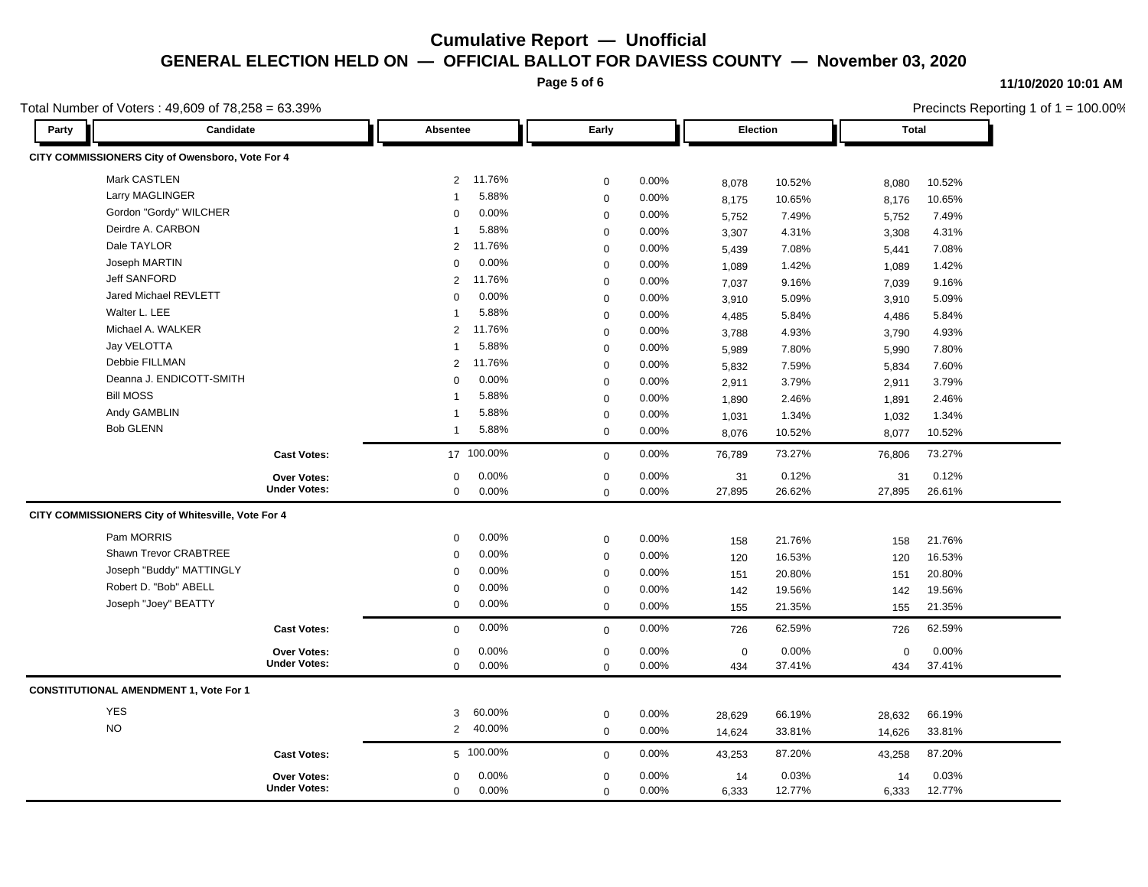**Page 5 of 6**

#### **11/10/2020 10:01 AM**

434 37.41% 37.41%

 434 0.00% 0 0.00%

 $0.00\%$  0.00% 0.00% 0.00% 0.00% 0.00%

0 0.00%

|                  | Total Number of Voters: $49,609$ of $78,258 = 63.39\%$ |                |                   |             |          |             |              | Precincts Reporting 1 of 1 = 100.00% |        |  |
|------------------|--------------------------------------------------------|----------------|-------------------|-------------|----------|-------------|--------------|--------------------------------------|--------|--|
| Party            | Candidate                                              |                | Early<br>Absentee |             | Election |             | <b>Total</b> |                                      |        |  |
|                  | CITY COMMISSIONERS City of Owensboro, Vote For 4       |                |                   |             |          |             |              |                                      |        |  |
|                  | Mark CASTLEN                                           | $\overline{2}$ | 11.76%            | $\mathbf 0$ | 0.00%    | 8,078       | 10.52%       | 8,080                                | 10.52% |  |
|                  | Larry MAGLINGER                                        | -1             | 5.88%             | $\mathbf 0$ | 0.00%    | 8,175       | 10.65%       | 8,176                                | 10.65% |  |
|                  | Gordon "Gordy" WILCHER                                 | $\Omega$       | 0.00%             | $\mathbf 0$ | 0.00%    | 5,752       | 7.49%        | 5,752                                | 7.49%  |  |
|                  | Deirdre A. CARBON                                      |                | 5.88%             | $\mathbf 0$ | 0.00%    | 3,307       | 4.31%        | 3,308                                | 4.31%  |  |
|                  | Dale TAYLOR                                            | $\overline{2}$ | 11.76%            | $\mathbf 0$ | 0.00%    | 5,439       | 7.08%        | 5,441                                | 7.08%  |  |
|                  | Joseph MARTIN                                          | $\Omega$       | 0.00%             | $\mathbf 0$ | 0.00%    | 1,089       | 1.42%        | 1,089                                | 1.42%  |  |
|                  | <b>Jeff SANFORD</b>                                    | $\overline{2}$ | 11.76%            | $\mathbf 0$ | 0.00%    | 7,037       | 9.16%        | 7,039                                | 9.16%  |  |
|                  | Jared Michael REVLETT                                  | $\Omega$       | 0.00%             | $\mathbf 0$ | 0.00%    | 3,910       | 5.09%        | 3,910                                | 5.09%  |  |
|                  | Walter L. LEE                                          |                | 5.88%             | $\mathbf 0$ | 0.00%    | 4,485       | 5.84%        | 4,486                                | 5.84%  |  |
|                  | Michael A. WALKER                                      | $\overline{2}$ | 11.76%            | $\mathbf 0$ | 0.00%    | 3,788       | 4.93%        | 3,790                                | 4.93%  |  |
|                  | Jay VELOTTA                                            |                | 5.88%             | $\mathbf 0$ | 0.00%    | 5,989       | 7.80%        | 5,990                                | 7.80%  |  |
|                  | Debbie FILLMAN                                         | $\overline{2}$ | 11.76%            | $\mathbf 0$ | 0.00%    | 5,832       | 7.59%        | 5,834                                | 7.60%  |  |
|                  | Deanna J. ENDICOTT-SMITH                               | $\Omega$       | 0.00%             | $\mathbf 0$ | 0.00%    | 2,911       | 3.79%        | 2,911                                | 3.79%  |  |
| <b>Bill MOSS</b> |                                                        |                | 5.88%             | $\mathbf 0$ | 0.00%    | 1,890       | 2.46%        | 1,891                                | 2.46%  |  |
|                  | Andy GAMBLIN                                           | -1             | 5.88%             | $\mathbf 0$ | 0.00%    | 1,031       | 1.34%        | 1,032                                | 1.34%  |  |
|                  | <b>Bob GLENN</b>                                       | -1             | 5.88%             | $\mathbf 0$ | 0.00%    | 8,076       | 10.52%       | 8,077                                | 10.52% |  |
|                  | <b>Cast Votes:</b>                                     |                | 17 100.00%        | $\mathbf 0$ | 0.00%    | 76,789      | 73.27%       | 76,806                               | 73.27% |  |
|                  | Over Votes:                                            | 0              | 0.00%             | 0           | 0.00%    | 31          | 0.12%        | 31                                   | 0.12%  |  |
|                  | <b>Under Votes:</b>                                    | $\mathbf 0$    | 0.00%             | $\mathbf 0$ | 0.00%    | 27,895      | 26.62%       | 27,895                               | 26.61% |  |
|                  | CITY COMMISSIONERS City of Whitesville, Vote For 4     |                |                   |             |          |             |              |                                      |        |  |
|                  | Pam MORRIS                                             | $\Omega$       | $0.00\%$          | $\mathbf 0$ | 0.00%    | 158         | 21.76%       | 158                                  | 21.76% |  |
|                  | Shawn Trevor CRABTREE                                  | $\Omega$       | 0.00%             | $\mathbf 0$ | 0.00%    | 120         | 16.53%       | 120                                  | 16.53% |  |
|                  | Joseph "Buddy" MATTINGLY                               | $\Omega$       | 0.00%             | $\mathbf 0$ | 0.00%    | 151         | 20.80%       | 151                                  | 20.80% |  |
|                  | Robert D. "Bob" ABELL                                  | $\Omega$       | $0.00\%$          | 0           | 0.00%    | 142         | 19.56%       | 142                                  | 19.56% |  |
|                  | Joseph "Joey" BEATTY                                   | 0              | $0.00\%$          | $\mathbf 0$ | 0.00%    | 155         | 21.35%       | 155                                  | 21.35% |  |
|                  | <b>Cast Votes:</b>                                     | $\mathbf 0$    | 0.00%             | $\Omega$    | 0.00%    | 726         | 62.59%       | 726                                  | 62.59% |  |
|                  | <b>Over Votes:</b>                                     | $\mathbf 0$    | 0.00%             | $\Omega$    | 0.00%    | $\mathbf 0$ | 0.00%        | 0                                    | 0.00%  |  |

**Under Votes: Over Votes:**

| 3 60.00%  | $0.00\%$ | 28,629 | 66.19% | 28,632 | 66.19%                                           |  |
|-----------|----------|--------|--------|--------|--------------------------------------------------|--|
| 2 40.00%  | $0.00\%$ | 14.624 | 33.81% | 14,626 | 33.81%                                           |  |
| 5 100.00% | 0.00%    | 43,253 | 87.20% | 43,258 | 87.20%                                           |  |
| $0.00\%$  | $0.00\%$ | 14     | 0.03%  | 14     | 0.03%<br>12.77%                                  |  |
|           |          |        |        |        | $0.00\%$<br>$0.00\%$<br>12.77%<br>6,333<br>6,333 |  |

0 0.00%

0.00% 0